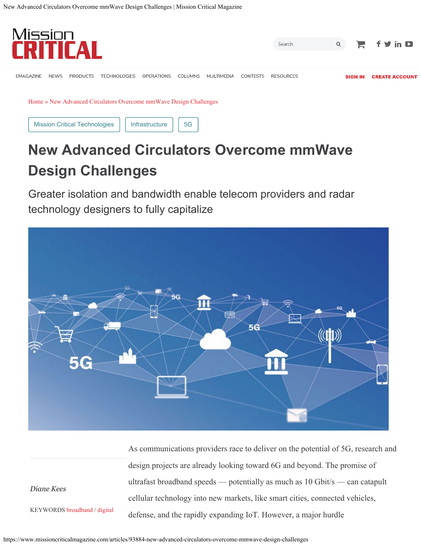

# **New Advanced Circulators Overcome mmWave Design Challenges**

Greater isolation and bandwidth enable telecom providers and radar technology designers to fully capitalize



As communications providers race to deliver on the potential of 5G, research and design projects are already looking toward 6G and beyond. The promise of ultrafast broadband speeds — potentially as much as 10 Gbit/s — can catapult cellular technology into new markets, like smart cities, connected vehicles, defense, and the rapidly expanding IoT. However, a major hurdle

*Diane Kees*

KEYWORDS broadband / digital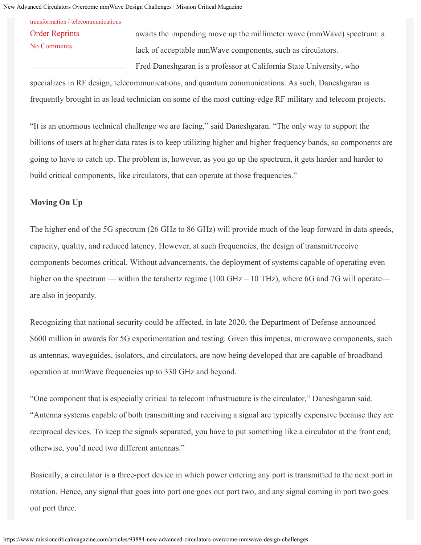<span id="page-1-0"></span>[transformation](https://www.missioncriticalmagazine.com/keywords/5200-digital-transformation) / [telecommunications](https://www.missioncriticalmagazine.com/keywords/5376-telecommunications)

[Order Reprints](http://www.bnpmedia.com/reprints) [No Comments](#page-1-0)

awaits the impending move up the millimeter wave (mmWave) spectrum: a lack of acceptable mmWave components, such as circulators. Fred Daneshgaran is a professor at California State University, who

specializes in RF design, telecommunications, and quantum communications. As such, Daneshgaran is frequently brought in as lead technician on some of the most cutting-edge RF military and telecom projects.

"It is an enormous technical challenge we are facing," said Daneshgaran. "The only way to support the billions of users at higher data rates is to keep utilizing higher and higher frequency bands, so components are going to have to catch up. The problem is, however, as you go up the spectrum, it gets harder and harder to build critical components, like circulators, that can operate at those frequencies."

#### **Moving On Up**

The higher end of the 5G spectrum (26 GHz to 86 GHz) will provide much of the leap forward in data speeds, capacity, quality, and reduced latency. However, at such frequencies, the design of transmit/receive components becomes critical. Without advancements, the deployment of systems capable of operating even higher on the spectrum — within the terahertz regime (100 GHz – 10 THz), where 6G and 7G will operate are also in jeopardy.

Recognizing that national security could be affected, in late 2020, the Department of Defense announced \$600 million in awards for 5G experimentation and testing. Given this impetus, microwave components, such as antennas, waveguides, isolators, and circulators, are now being developed that are capable of broadband operation at mmWave frequencies up to 330 GHz and beyond.

"One component that is especially critical to telecom infrastructure is the circulator," Daneshgaran said. "Antenna systems capable of both transmitting and receiving a signal are typically expensive because they are reciprocal devices. To keep the signals separated, you have to put something like a circulator at the front end; otherwise, you'd need two different antennas."

Basically, a circulator is a three-port device in which power entering any port is transmitted to the next port in rotation. Hence, any signal that goes into port one goes out port two, and any signal coming in port two goes out port three.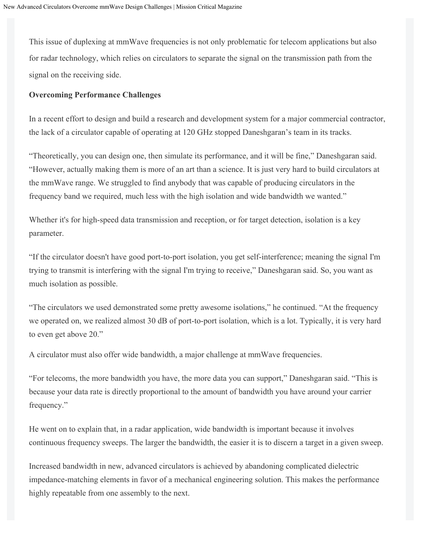This issue of duplexing at mmWave frequencies is not only problematic for telecom applications but also for radar technology, which relies on circulators to separate the signal on the transmission path from the signal on the receiving side.

#### **Overcoming Performance Challenges**

In a recent effort to design and build a research and development system for a major commercial contractor, the lack of a circulator capable of operating at 120 GHz stopped Daneshgaran's team in its tracks.

"Theoretically, you can design one, then simulate its performance, and it will be fine," Daneshgaran said. "However, actually making them is more of an art than a science. It is just very hard to build circulators at the mmWave range. We struggled to find anybody that was capable of producing circulators in the frequency band we required, much less with the high isolation and wide bandwidth we wanted."

Whether it's for high-speed data transmission and reception, or for target detection, isolation is a key parameter.

"If the circulator doesn't have good port-to-port isolation, you get self-interference; meaning the signal I'm trying to transmit is interfering with the signal I'm trying to receive," Daneshgaran said. So, you want as much isolation as possible.

"The circulators we used demonstrated some pretty awesome isolations," he continued. "At the frequency we operated on, we realized almost 30 dB of port-to-port isolation, which is a lot. Typically, it is very hard to even get above 20."

A circulator must also offer wide bandwidth, a major challenge at mmWave frequencies.

"For telecoms, the more bandwidth you have, the more data you can support," Daneshgaran said. "This is because your data rate is directly proportional to the amount of bandwidth you have around your carrier frequency."

He went on to explain that, in a radar application, wide bandwidth is important because it involves continuous frequency sweeps. The larger the bandwidth, the easier it is to discern a target in a given sweep.

Increased bandwidth in new, advanced circulators is achieved by abandoning complicated dielectric impedance-matching elements in favor of a mechanical engineering solution. This makes the performance highly repeatable from one assembly to the next.